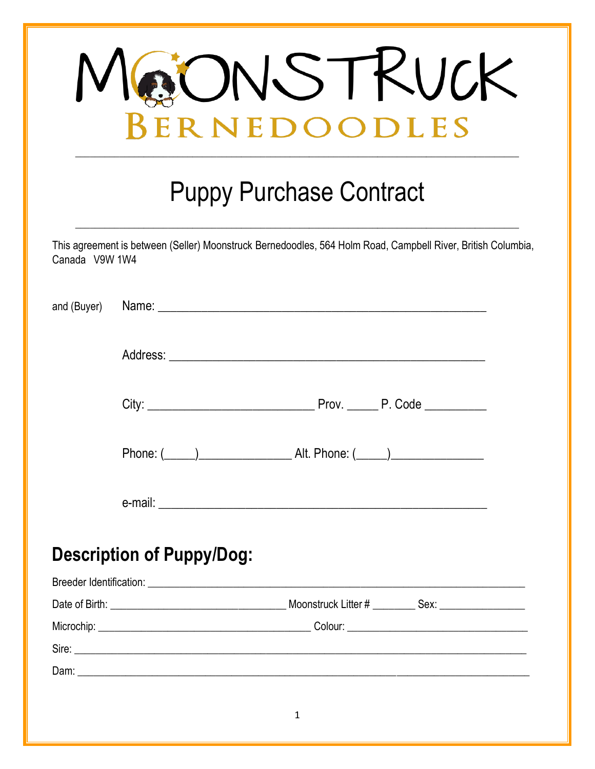| JONSTKUCK<br>BERNEDOODLES      |                                                                                                              |  |  |  |  |  |
|--------------------------------|--------------------------------------------------------------------------------------------------------------|--|--|--|--|--|
| <b>Puppy Purchase Contract</b> |                                                                                                              |  |  |  |  |  |
| Canada V9W 1W4                 | This agreement is between (Seller) Moonstruck Bernedoodles, 564 Holm Road, Campbell River, British Columbia, |  |  |  |  |  |
| and (Buyer)                    |                                                                                                              |  |  |  |  |  |
|                                |                                                                                                              |  |  |  |  |  |
|                                |                                                                                                              |  |  |  |  |  |
|                                |                                                                                                              |  |  |  |  |  |
|                                |                                                                                                              |  |  |  |  |  |
|                                | <b>Description of Puppy/Dog:</b>                                                                             |  |  |  |  |  |
|                                |                                                                                                              |  |  |  |  |  |
|                                |                                                                                                              |  |  |  |  |  |
|                                |                                                                                                              |  |  |  |  |  |
|                                |                                                                                                              |  |  |  |  |  |
|                                |                                                                                                              |  |  |  |  |  |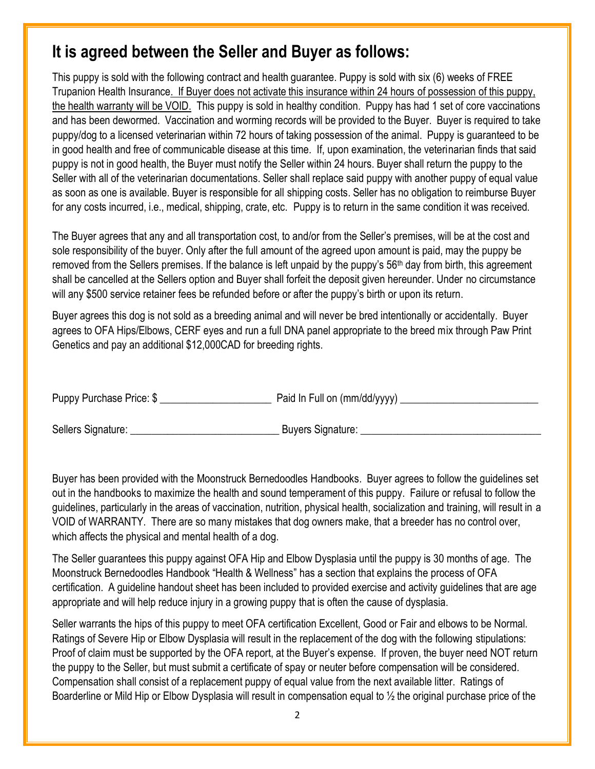## **It is agreed between the Seller and Buyer as follows:**

This puppy is sold with the following contract and health guarantee. Puppy is sold with six (6) weeks of FREE Trupanion Health Insurance. If Buyer does not activate this insurance within 24 hours of possession of this puppy, the health warranty will be VOID. This puppy is sold in healthy condition. Puppy has had 1 set of core vaccinations and has been dewormed. Vaccination and worming records will be provided to the Buyer. Buyer is required to take puppy/dog to a licensed veterinarian within 72 hours of taking possession of the animal. Puppy is guaranteed to be in good health and free of communicable disease at this time. If, upon examination, the veterinarian finds that said puppy is not in good health, the Buyer must notify the Seller within 24 hours. Buyer shall return the puppy to the Seller with all of the veterinarian documentations. Seller shall replace said puppy with another puppy of equal value as soon as one is available. Buyer is responsible for all shipping costs. Seller has no obligation to reimburse Buyer for any costs incurred, i.e., medical, shipping, crate, etc. Puppy is to return in the same condition it was received.

The Buyer agrees that any and all transportation cost, to and/or from the Seller's premises, will be at the cost and sole responsibility of the buyer. Only after the full amount of the agreed upon amount is paid, may the puppy be removed from the Sellers premises. If the balance is left unpaid by the puppy's 56<sup>th</sup> day from birth, this agreement shall be cancelled at the Sellers option and Buyer shall forfeit the deposit given hereunder. Under no circumstance will any \$500 service retainer fees be refunded before or after the puppy's birth or upon its return.

Buyer agrees this dog is not sold as a breeding animal and will never be bred intentionally or accidentally. Buyer agrees to OFA Hips/Elbows, CERF eyes and run a full DNA panel appropriate to the breed mix through Paw Print Genetics and pay an additional \$12,000CAD for breeding rights.

| Puppy Purchase Price: \$ | Paid In Full on (mm/dd/yyyy) |
|--------------------------|------------------------------|
|                          |                              |
|                          |                              |

Sellers Signature: etc. and a seller surface signature:  $\Box$  Buyers Signature:

Buyer has been provided with the Moonstruck Bernedoodles Handbooks. Buyer agrees to follow the guidelines set out in the handbooks to maximize the health and sound temperament of this puppy. Failure or refusal to follow the guidelines, particularly in the areas of vaccination, nutrition, physical health, socialization and training, will result in a VOID of WARRANTY. There are so many mistakes that dog owners make, that a breeder has no control over, which affects the physical and mental health of a dog.

The Seller guarantees this puppy against OFA Hip and Elbow Dysplasia until the puppy is 30 months of age. The Moonstruck Bernedoodles Handbook "Health & Wellness" has a section that explains the process of OFA certification. A guideline handout sheet has been included to provided exercise and activity guidelines that are age appropriate and will help reduce injury in a growing puppy that is often the cause of dysplasia.

Seller warrants the hips of this puppy to meet OFA certification Excellent, Good or Fair and elbows to be Normal. Ratings of Severe Hip or Elbow Dysplasia will result in the replacement of the dog with the following stipulations: Proof of claim must be supported by the OFA report, at the Buyer's expense. If proven, the buyer need NOT return the puppy to the Seller, but must submit a certificate of spay or neuter before compensation will be considered. Compensation shall consist of a replacement puppy of equal value from the next available litter. Ratings of Boarderline or Mild Hip or Elbow Dysplasia will result in compensation equal to ½ the original purchase price of the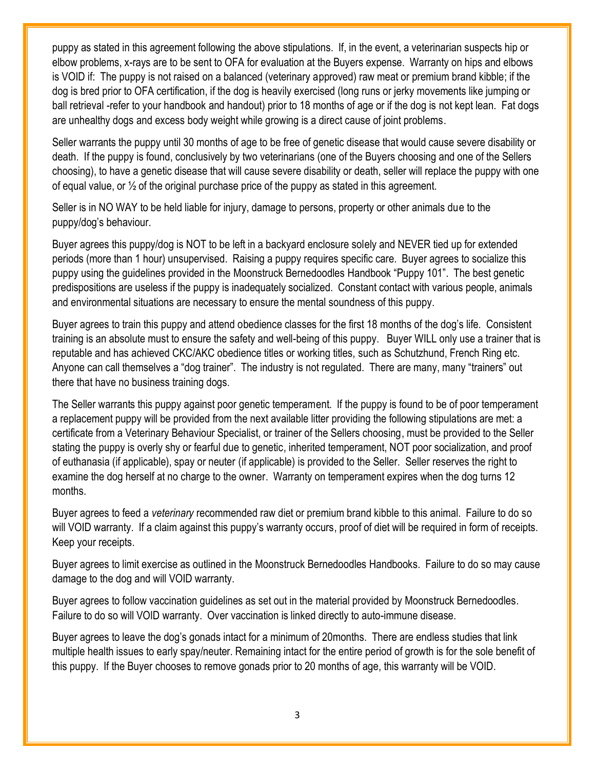puppy as stated in this agreement following the above stipulations. If, in the event, a veterinarian suspects hip or elbow problems, x-rays are to be sent to OFA for evaluation at the Buyers expense. Warranty on hips and elbows is VOID if: The puppy is not raised on a balanced (veterinary approved) raw meat or premium brand kibble; if the dog is bred prior to OFA certification, if the dog is heavily exercised (long runs or jerky movements like jumping or ball retrieval -refer to your handbook and handout) prior to 18 months of age or if the dog is not kept lean. Fat dogs are unhealthy dogs and excess body weight while growing is a direct cause of joint problems.

Seller warrants the puppy until 30 months of age to be free of genetic disease that would cause severe disability or death. If the puppy is found, conclusively by two veterinarians (one of the Buyers choosing and one of the Sellers choosing), to have a genetic disease that will cause severe disability or death, seller will replace the puppy with one of equal value, or  $\frac{1}{2}$  of the original purchase price of the puppy as stated in this agreement.

Seller is in NO WAY to be held liable for injury, damage to persons, property or other animals due to the puppy/dog's behaviour.

Buyer agrees this puppy/dog is NOT to be left in a backyard enclosure solely and NEVER tied up for extended periods (more than 1 hour) unsupervised. Raising a puppy requires specific care. Buyer agrees to socialize this puppy using the guidelines provided in the Moonstruck Bernedoodles Handbook "Puppy 101". The best genetic predispositions are useless if the puppy is inadequately socialized. Constant contact with various people, animals and environmental situations are necessary to ensure the mental soundness of this puppy.

Buyer agrees to train this puppy and attend obedience classes for the first 18 months of the dog's life. Consistent training is an absolute must to ensure the safety and well-being of this puppy. Buyer WILL only use a trainer that is reputable and has achieved CKC/AKC obedience titles or working titles, such as Schutzhund, French Ring etc. Anyone can call themselves a "dog trainer". The industry is not regulated. There are many, many "trainers" out there that have no business training dogs.

The Seller warrants this puppy against poor genetic temperament. If the puppy is found to be of poor temperament a replacement puppy will be provided from the next available litter providing the following stipulations are met: a certificate from a Veterinary Behaviour Specialist, or trainer of the Sellers choosing, must be provided to the Seller stating the puppy is overly shy or fearful due to genetic, inherited temperament, NOT poor socialization, and proof of euthanasia (if applicable), spay or neuter (if applicable) is provided to the Seller. Seller reserves the right to examine the dog herself at no charge to the owner. Warranty on temperament expires when the dog turns 12 months.

Buyer agrees to feed a *veterinary* recommended raw diet or premium brand kibble to this animal. Failure to do so will VOID warranty. If a claim against this puppy's warranty occurs, proof of diet will be required in form of receipts. Keep your receipts.

Buyer agrees to limit exercise as outlined in the Moonstruck Bernedoodles Handbooks. Failure to do so may cause damage to the dog and will VOID warranty.

Buyer agrees to follow vaccination guidelines as set out in the material provided by Moonstruck Bernedoodles. Failure to do so will VOID warranty. Over vaccination is linked directly to auto-immune disease.

Buyer agrees to leave the dog's gonads intact for a minimum of 20months. There are endless studies that link multiple health issues to early spay/neuter. Remaining intact for the entire period of growth is for the sole benefit of this puppy. If the Buyer chooses to remove gonads prior to 20 months of age, this warranty will be VOID.